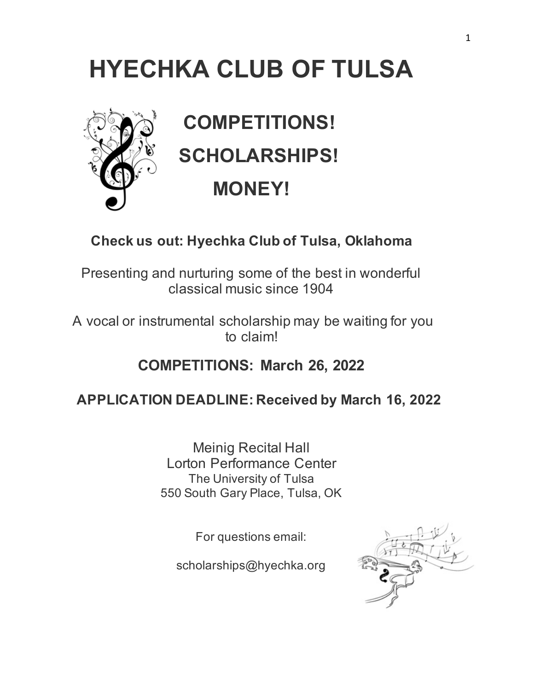# **HYECHKA CLUB OF TULSA**



 **COMPETITIONS! SCHOLARSHIPS! MONEY!** 

### **Check us out: Hyechka Club of Tulsa, Oklahoma**

Presenting and nurturing some of the best in wonderful classical music since 1904

A vocal or instrumental scholarship may be waiting for you to claim!

### **COMPETITIONS: March 26, 2022**

### **APPLICATION DEADLINE: Received by March 16, 2022**

Meinig Recital Hall Lorton Performance Center The University of Tulsa 550 South Gary Place, Tulsa, OK

For questions email:

scholarships@hyechka.org

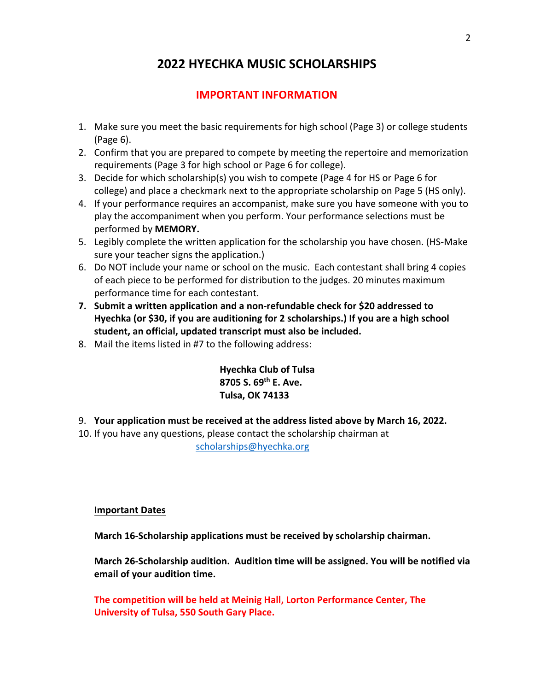### **2022 HYECHKA MUSIC SCHOLARSHIPS**

### **IMPORTANT INFORMATION**

- 1. Make sure you meet the basic requirements for high school (Page 3) or college students (Page 6).
- 2. Confirm that you are prepared to compete by meeting the repertoire and memorization requirements (Page 3 for high school or Page 6 for college).
- 3. Decide for which scholarship(s) you wish to compete (Page 4 for HS or Page 6 for college) and place a checkmark next to the appropriate scholarship on Page 5 (HS only).
- 4. If your performance requires an accompanist, make sure you have someone with you to play the accompaniment when you perform. Your performance selections must be performed by **MEMORY.**
- 5. Legibly complete the written application for the scholarship you have chosen. (HS‐Make sure your teacher signs the application.)
- 6. Do NOT include your name or school on the music. Each contestant shall bring 4 copies of each piece to be performed for distribution to the judges. 20 minutes maximum performance time for each contestant.
- **7. Submit a written application and a non‐refundable check for \$20 addressed to Hyechka (or \$30, if you are auditioning for 2 scholarships.) If you are a high school student, an official, updated transcript must also be included.**
- 8. Mail the items listed in #7 to the following address:

**Hyechka Club of Tulsa 8705 S. 69th E. Ave. Tulsa, OK 74133** 

- 9. **Your application must be received at the address listed above by March 16, 2022.**
- 10. If you have any questions, please contact the scholarship chairman at scholarships@hyechka.org

### **Important Dates**

**March 16‐Scholarship applications must be received by scholarship chairman.** 

**March 26‐Scholarship audition. Audition time will be assigned. You will be notified via email of your audition time.** 

**The competition will be held at Meinig Hall, Lorton Performance Center, The University of Tulsa, 550 South Gary Place.**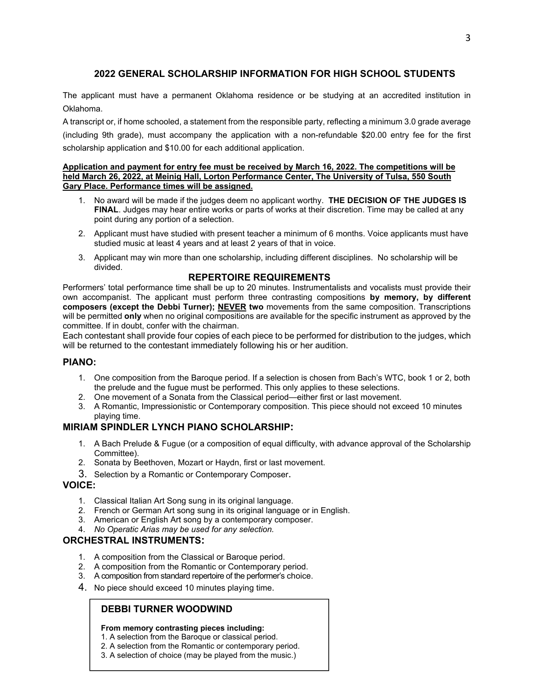### **2022 GENERAL SCHOLARSHIP INFORMATION FOR HIGH SCHOOL STUDENTS**

The applicant must have a permanent Oklahoma residence or be studying at an accredited institution in Oklahoma.

A transcript or, if home schooled, a statement from the responsible party, reflecting a minimum 3.0 grade average (including 9th grade), must accompany the application with a non-refundable \$20.00 entry fee for the first scholarship application and \$10.00 for each additional application.

#### **Application and payment for entry fee must be received by March 16, 2022. The competitions will be held March 26, 2022, at Meinig Hall, Lorton Performance Center, The University of Tulsa, 550 South Gary Place. Performance times will be assigned.**

- 1. No award will be made if the judges deem no applicant worthy. **THE DECISION OF THE JUDGES IS FINAL**. Judges may hear entire works or parts of works at their discretion. Time may be called at any point during any portion of a selection.
- 2. Applicant must have studied with present teacher a minimum of 6 months. Voice applicants must have studied music at least 4 years and at least 2 years of that in voice.
- 3. Applicant may win more than one scholarship, including different disciplines. No scholarship will be divided.

### **REPERTOIRE REQUIREMENTS**

Performers' total performance time shall be up to 20 minutes. Instrumentalists and vocalists must provide their own accompanist. The applicant must perform three contrasting compositions **by memory, by different composers (except the Debbi Turner); NEVER two** movements from the same composition. Transcriptions will be permitted **only** when no original compositions are available for the specific instrument as approved by the committee. If in doubt, confer with the chairman.

Each contestant shall provide four copies of each piece to be performed for distribution to the judges, which will be returned to the contestant immediately following his or her audition.

### **PIANO:**

- 1. One composition from the Baroque period. If a selection is chosen from Bach's WTC, book 1 or 2, both the prelude and the fugue must be performed. This only applies to these selections.
- 2. One movement of a Sonata from the Classical period—either first or last movement.
- 3. A Romantic, Impressionistic or Contemporary composition. This piece should not exceed 10 minutes playing time.

### **MIRIAM SPINDLER LYNCH PIANO SCHOLARSHIP:**

- 1. A Bach Prelude & Fugue (or a composition of equal difficulty, with advance approval of the Scholarship Committee).
- 2. Sonata by Beethoven, Mozart or Haydn, first or last movement.
- 3. Selection by a Romantic or Contemporary Composer.

### **VOICE:**

- 1. Classical Italian Art Song sung in its original language.
- 2. French or German Art song sung in its original language or in English.
- 3. American or English Art song by a contemporary composer.
- 4. *No Operatic Arias may be used for any selection.*

### **ORCHESTRAL INSTRUMENTS:**

- 1. A composition from the Classical or Baroque period.
- 2. A composition from the Romantic or Contemporary period.
- 3. A composition from standard repertoire of the performer's choice.
- 4. No piece should exceed 10 minutes playing time.

### **DEBBI TURNER WOODWIND**

#### **From memory contrasting pieces including:**

- 1. A selection from the Baroque or classical period.
- 2. A selection from the Romantic or contemporary period.
- 3. A selection of choice (may be played from the music.)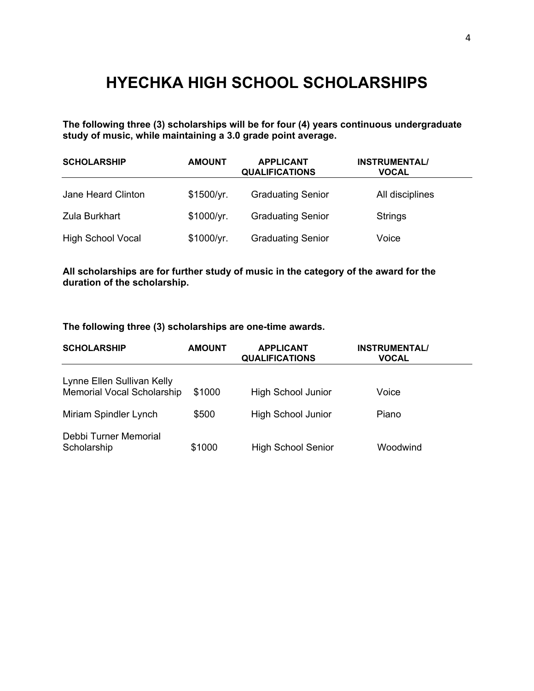# **HYECHKA HIGH SCHOOL SCHOLARSHIPS**

**The following three (3) scholarships will be for four (4) years continuous undergraduate study of music, while maintaining a 3.0 grade point average.** 

| <b>SCHOLARSHIP</b>       | <b>AMOUNT</b> | <b>APPLICANT</b><br><b>QUALIFICATIONS</b> | <b>INSTRUMENTAL/</b><br><b>VOCAL</b> |
|--------------------------|---------------|-------------------------------------------|--------------------------------------|
| Jane Heard Clinton       | \$1500/yr.    | <b>Graduating Senior</b>                  | All disciplines                      |
| Zula Burkhart            | \$1000/yr.    | <b>Graduating Senior</b>                  | <b>Strings</b>                       |
| <b>High School Vocal</b> | \$1000/yr.    | <b>Graduating Senior</b>                  | Voice                                |

### **All scholarships are for further study of music in the category of the award for the duration of the scholarship.**

### **The following three (3) scholarships are one-time awards.**

| <b>SCHOLARSHIP</b>                                              | <b>AMOUNT</b> | <b>APPLICANT</b><br><b>QUALIFICATIONS</b> | <b>INSTRUMENTAL/</b><br><b>VOCAL</b> |  |
|-----------------------------------------------------------------|---------------|-------------------------------------------|--------------------------------------|--|
| Lynne Ellen Sullivan Kelly<br><b>Memorial Vocal Scholarship</b> | \$1000        | <b>High School Junior</b>                 | Voice                                |  |
| Miriam Spindler Lynch                                           | \$500         | <b>High School Junior</b>                 | Piano                                |  |
| Debbi Turner Memorial<br>Scholarship                            | \$1000        | <b>High School Senior</b>                 | Woodwind                             |  |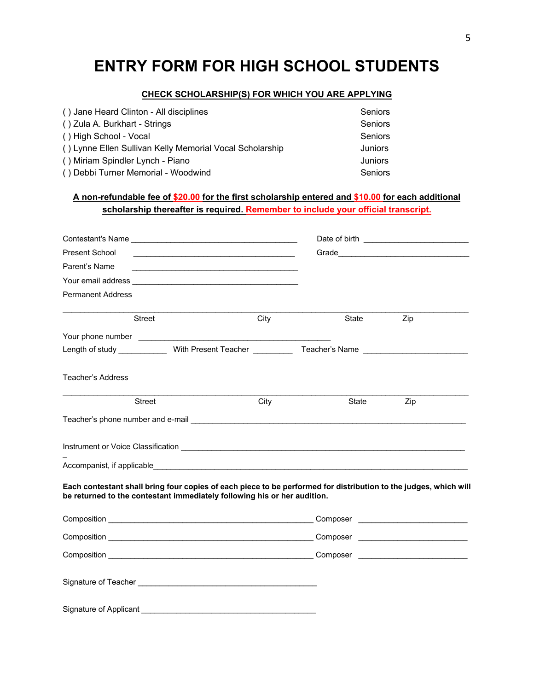# **ENTRY FORM FOR HIGH SCHOOL STUDENTS**

#### **CHECK SCHOLARSHIP(S) FOR WHICH YOU ARE APPLYING**

| () Jane Heard Clinton - All disciplines                  | Seniors        |
|----------------------------------------------------------|----------------|
| () Zula A. Burkhart - Strings                            | Seniors        |
| () High School - Vocal                                   | Seniors        |
| () Lynne Ellen Sullivan Kelly Memorial Vocal Scholarship | <b>Juniors</b> |
| () Miriam Spindler Lynch - Piano                         | Juniors        |
| () Debbi Turner Memorial - Woodwind                      | Seniors        |

### **A non-refundable fee of \$20.00 for the first scholarship entered and \$10.00 for each additional scholarship thereafter is required. Remember to include your official transcript.**

| Present School                     |                                                                              |                                                                                                                                                                                                                                |       |                                         |
|------------------------------------|------------------------------------------------------------------------------|--------------------------------------------------------------------------------------------------------------------------------------------------------------------------------------------------------------------------------|-------|-----------------------------------------|
| Parent's Name                      | <u> 1989 - Johann Barbara, martxa alemaniar amerikan personal (h. 1989).</u> |                                                                                                                                                                                                                                |       |                                         |
|                                    |                                                                              |                                                                                                                                                                                                                                |       |                                         |
| <b>Permanent Address</b>           |                                                                              |                                                                                                                                                                                                                                |       |                                         |
|                                    | Street                                                                       | City                                                                                                                                                                                                                           | State | Zip                                     |
|                                    |                                                                              |                                                                                                                                                                                                                                |       |                                         |
|                                    |                                                                              | Length of study _____________With Present Teacher _____________Teacher's Name ____________________                                                                                                                             |       |                                         |
| <b>Teacher's Address</b>           |                                                                              |                                                                                                                                                                                                                                |       |                                         |
|                                    | Street                                                                       | City                                                                                                                                                                                                                           | State | Zip                                     |
|                                    |                                                                              | Teacher's phone number and e-mail experience and the control of the control of the control of the control of the control of the control of the control of the control of the control of the control of the control of the cont |       |                                         |
|                                    |                                                                              |                                                                                                                                                                                                                                |       |                                         |
|                                    |                                                                              |                                                                                                                                                                                                                                |       |                                         |
|                                    |                                                                              | Each contestant shall bring four copies of each piece to be performed for distribution to the judges, which will<br>be returned to the contestant immediately following his or her audition.                                   |       |                                         |
|                                    |                                                                              |                                                                                                                                                                                                                                |       | Composer National Composer              |
|                                    |                                                                              |                                                                                                                                                                                                                                |       | Composer ______________________________ |
|                                    |                                                                              |                                                                                                                                                                                                                                |       |                                         |
|                                    |                                                                              |                                                                                                                                                                                                                                |       |                                         |
| Signature of Applicant ___________ |                                                                              |                                                                                                                                                                                                                                |       |                                         |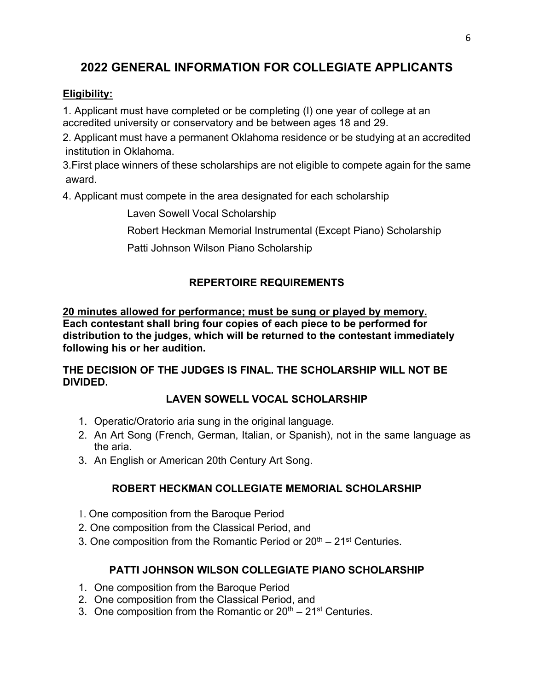### **2022 GENERAL INFORMATION FOR COLLEGIATE APPLICANTS**

### **Eligibility:**

1. Applicant must have completed or be completing (I) one year of college at an accredited university or conservatory and be between ages 18 and 29.

2. Applicant must have a permanent Oklahoma residence or be studying at an accredited institution in Oklahoma.

3.First place winners of these scholarships are not eligible to compete again for the same award.

4. Applicant must compete in the area designated for each scholarship

Laven Sowell Vocal Scholarship

Robert Heckman Memorial Instrumental (Except Piano) Scholarship

Patti Johnson Wilson Piano Scholarship

### **REPERTOIRE REQUIREMENTS**

**20 minutes allowed for performance; must be sung or played by memory. Each contestant shall bring four copies of each piece to be performed for distribution to the judges, which will be returned to the contestant immediately following his or her audition.**

**THE DECISION OF THE JUDGES IS FINAL. THE SCHOLARSHIP WILL NOT BE DIVIDED.** 

### **LAVEN SOWELL VOCAL SCHOLARSHIP**

- 1. Operatic/Oratorio aria sung in the original language.
- 2. An Art Song (French, German, Italian, or Spanish), not in the same language as the aria.
- 3. An English or American 20th Century Art Song.

### **ROBERT HECKMAN COLLEGIATE MEMORIAL SCHOLARSHIP**

- 1. One composition from the Baroque Period
- 2. One composition from the Classical Period, and
- 3. One composition from the Romantic Period or  $20<sup>th</sup> 21<sup>st</sup>$  Centuries.

### **PATTI JOHNSON WILSON COLLEGIATE PIANO SCHOLARSHIP**

- 1. One composition from the Baroque Period
- 2. One composition from the Classical Period, and
- 3. One composition from the Romantic or  $20<sup>th</sup> 21<sup>st</sup>$  Centuries.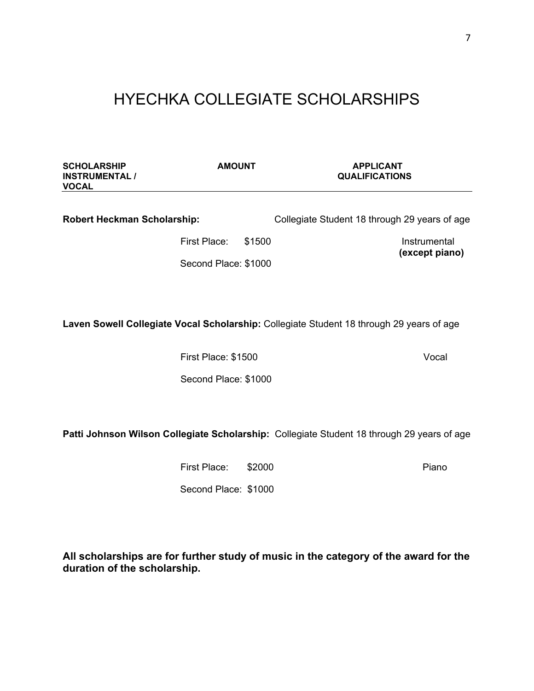# HYECHKA COLLEGIATE SCHOLARSHIPS

| <b>AMOUNT</b>                      |  | <b>APPLICANT</b><br><b>QUALIFICATIONS</b>                                                                       |
|------------------------------------|--|-----------------------------------------------------------------------------------------------------------------|
| <b>Robert Heckman Scholarship:</b> |  | Collegiate Student 18 through 29 years of age                                                                   |
| First Place:                       |  | Instrumental                                                                                                    |
|                                    |  | (except piano)                                                                                                  |
|                                    |  | Laven Sowell Collegiate Vocal Scholarship: Collegiate Student 18 through 29 years of age                        |
|                                    |  | Vocal                                                                                                           |
|                                    |  |                                                                                                                 |
|                                    |  |                                                                                                                 |
|                                    |  | Patti Johnson Wilson Collegiate Scholarship: Collegiate Student 18 through 29 years of age                      |
| First Place:                       |  | Piano                                                                                                           |
|                                    |  |                                                                                                                 |
|                                    |  |                                                                                                                 |
| duration of the scholarship.       |  | All scholarships are for further study of music in the category of the award for the                            |
|                                    |  | \$1500<br>Second Place: \$1000<br>First Place: \$1500<br>Second Place: \$1000<br>\$2000<br>Second Place: \$1000 |